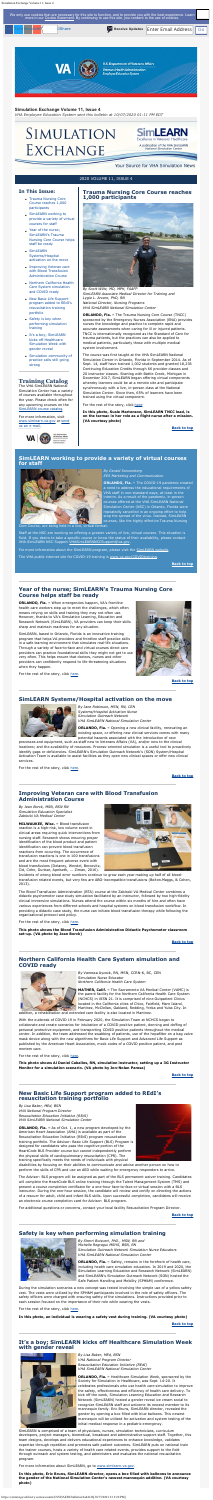# <span id="page-0-0"></span>**In This Issue:**

- [Trauma Nursing Core](#page-0-0) [Course reaches 1,000](#page-0-0) [participants](#page-0-0)
- [SimLEARN working to](#page-0-1) [provide a variety of virtual](#page-0-1) [courses for staff](#page-0-1)
- [Year of the nurse;](#page-0-2) [SimLEARN's Trauma](#page-0-2) [Nursing Core Course helps](#page-0-2) [staff be ready](#page-0-2)
- [SimLEARN](#page-0-3) [Systems/Hospital](#page-0-3) [activation on the move](#page-0-3)
- [Improving Veteran care](#page-0-4) [with Blood Transfusion](#page-0-4) [Administration Course](#page-0-4)
- [Northern California Health](#page-0-5) [Care System simulation](#page-0-5) [and COVID ready](#page-0-5)
- [New Basic Life Support](#page-0-6) [program added to REdI's](#page-0-6) [resuscitation training](#page-0-6) [portfolio](#page-0-6)
- [Safety is key when](#page-0-7) [performing simulation](#page-0-7) [training](#page-0-7)
- [It's a boy; SimLEARN](#page-0-8) [kicks off Healthcare](#page-0-8) [Simulation Week with](#page-0-8) [gender reveal](#page-0-8)
- [Simulation community of](#page-1-0) [practice calls still going](#page-1-0) [strong](#page-1-0)

# **Training Catalog**

The VHA SimLEARN National Simulation Center has a variety of courses available throughout the year. Please check often for any upcoming courses on the [SimLEARN course catalog](https://myees.lrn.va.gov/SimLEARN/Class%20Registration/Course%20Catalog.aspx).

For more information, visit [www.simlearn.va.gov](http://www.simlearn.va.gov/) or [send](mailto:VASimLEARNGeneralInformation@va.gov) [us an e-mail](mailto:VASimLEARNGeneralInformation@va.gov).



For the rest of the story, click [here](https://www.simlearn.va.gov/SIMLEARN/FA_2020_21_Trauma_Nursing_Core_Course_reaches_1000_participants.asp).

#### **Trauma Nursing Core Course reaches 1,000 participants**



*By Scott Wiltz, MD, MPH, FAAFP SimLEARN Associate Medical Director for Training and Lygia L. Arcaro, PhD, RN National Director, Nursing Programs VHA SimLEARN National Simulation Center*

**ORLANDO, Fla. –** The Trauma Nursing Core Course (TNCC) sponsored by the Emergency Nurses Association (ENA) provides nurses the knowledge and practice to complete rapid and accurate assessments when caring for ill or injured patients. TNCC is internationally recognized as the Standard of Care for trauma patients, but the practices can also be applied to medical patients, particularly those with multiple medical system involvement.

The course was first taught at the VHA SimLEARN National Simulation Center in Orlando, Florida in September 2014. As of Sept. 14, staff have trained 1,002 students and granted 18,236 Continuing Education Credits through 66 provider classes and 20 instructor classes. Starting with Battle Creek, Michigan in December 2017, SimLEARN began offering virtual components whereby learners could be at a remote site and participate synchronously with a live, in-person class at the National Simulation Center. Since then, 65% of learners have been trained using the virtual component.

**In this photo, Susie Martenson, SimLEARN TNCC lead, is on the tarmac in her role as a flight nurse after a mission. (VA courtesy photo)**

**[Back to top](#page-0-9)**

**ORLANDO, Fla.** - Opening a new clinical facility, renovating an existing space, or offering new clinical services comes with many potential hazards associated with the introduction of new

#### **Simulation Exchange Volume 11, Issue 4**

*VHA Employee Education System sent this bulletin at 10/07/2020 01:11 PM EDT*

# SIMULATION **EXCHANGE**

#### Your Source for VHA Simulation News

**1LEARN** 

Excellence in Veterans' Healthcare A publication of the VHA SimLEARN

**National Simulation Center** 

#### 2020 VOLUME 11, ISSUE 4

# <span id="page-0-1"></span>**SimLEARN working to provide a variety of virtual courses for staff**



*By Gerald Sonnenberg EES Marketing and Communication*

**ORLANDO, Fla. –** The COVID-19 pandemic created a need to address the educational requirements of VHA staff in non-standard ways, at least in the interim. As a result of the pandemic, in-person courses offered at the VHA SimLEARN National Simulation Center (NSC) in Orlando, Florida were repeatedly cancelled in an ongoing effort to help stop the spread of the virus. Instead, SimLEARN courses, like the highly effective Trauma Nursing

Core Course, are being held in a live, virtual format.

Staff at the NSC are working on offering a greater variety of live, virtual courses. This situation is fluid. If you desire to take a specific course or know the status of their availability, please contact VHA SimLEARN NSC Support [VHASimLEARNNSCSupport@va.gov](mailto:VHASimLEARNNSCSupport@va.gov).

For more information about the SimLEARN program, please visit the [SimLEARN website.](https://www.simlearn.va.gov/)

The VHA public internet site for COVID-19 training is [www.va.gov/COVIDtraining](http://www.va.gov/COVIDtraining).

**[Back to top](#page-0-9)**

## <span id="page-0-2"></span>**Year of the nurse; SimLEARN's Trauma Nursing Core Course helps staff be ready**

**ORLANDO, Fla. –** When emergencies happen, VA's frontline health care workers step up to meet the challenges, which often means relying on skills and training they may not often use. However, thanks to VA's Simulation Learning, Education and Research Network (SimLEARN), VA providers can keep their skills sharp and maintain readiness for any situation.

SimLEARN, based in Orlando, Florida is an innovative training program that helps VA providers and frontline staff practice skills in a safe learning environment that simulates real-life situations. Through a variety of face-to-face and virtual courses direct care providers can practice foundational skills they might not get to use very often. This helps ensure that doctors, nurses and other providers can confidently respond to life-threatening situations when they happen.

For the rest of the story, click [here](https://www.simlearn.va.gov/SIMLEARN/FA_2020_22_Year_of_the_nurse_SimLEARNs_Trauma_Nursing_Corps_Course_helps_staff_be_ready.asp).



**ORLANDO, Fla.** – As of Oct. 1, a new program developed by the American Heart Association (AHA) is available as part of the Resuscitation Education Initiative (REdI) program resuscitation training portfolio. The Advisor: Basic Life Support (BLS) Program is designed for candidates who pass the cognitive portion of the HeartCode BLS Provider course but cannot independently perform the physical skills of cardiopulmonary resuscitation (CPR). The training specifically meets the needs of individuals with physical

**[Back to top](#page-0-9)**

## <span id="page-0-3"></span>**SimLEARN Systems/Hospital activation on the move**



*By Jane Robinson, MSN, RN, CEN Systems/Hospital Activation Nurse Simulation Outreach Network VHA SimLEARN National Simulation Center*

processes and equipment, such as staff new to Veterans Affairs (VA), and/or new to the clinical locations; and the availability of resources. Process-oriented simulation is a useful tool to proactively

> **ORLANDO, Fla. –** Safety, remains in the forefront of health care, including health care simulation education. In 2019 and 2020, the Simulation Learning Education and Research Network (SimLEARN) and SimLEARN's Simulation Outreach Network (SON) hosted the Safe Patient Handling and Mobility (SPH&M) conference.

identify gaps or deficiencies. SimLEARN's Simulation Outreach Network's (SON) System/Hospital Activation Team is available to assist facilities as they open new clinical spaces or offer new clinical services.

For the rest of the story, click [here](https://www.simlearn.va.gov/SIMLEARN/FA_2020_24_SimLEARN_Systems_Hospital_activation_on_the_move.asp).

**[Back to top](#page-0-9)**

# <span id="page-0-4"></span>**Improving Veteran care with Blood Transfusion Administration Course**

*By Jean Borck, MSN, BSN RN Simulation Education Specialist Zablocki VA Medical Center*

**MILWAUKEE, Wisc. –** Blood transfusion reaction is a high-risk, low volume event in clinical areas requiring quick interventions from nursing staff. Research shows ensuring proper identification of the blood product and patient identification can prevent blood transfusion reactions from occurring. The occurrence of transfusion reactions is one in 100 transfusions and are the most frequent adverse event with blood transfusions (Delaney, Wendel, Bercovitz, Cid, Cohn, Dunbar, Apelseth, ... Ziman, 2016).



Incidents of wrong blood error numbers continue to grow each year making up half of all bloodtransfusion related events, but very few are ABO-incompatible transfusions (Bolton‐Maggs, & Cohen, 2013).

The Blood Transfusion Administration (BTA) course at the Zablocki VA Medical Center combines a didactic psychomotor case study simulation facilitated by an instructor, followed by two high-fidelity clinical immersive simulations. Nurses attend the course within six months of hire and often have various experiences from different schools and hospital systems on blood transfusion workflow. In providing a didactic case study, the nurse can initiate blood transfusion therapy while following the organizational protocol and policy.

For the rest of the story, click [here](https://www.simlearn.va.gov/SIMLEARN/FA_2020_25_Improving_Veteran_care_with_Blood_Transfusion_Administration_Course.asp).

**This photo shows the Blood Transfusion Administration Didactic Psychomotor classroom set-up. (VA photo by Jean Borck)**

**[Back to top](#page-0-9)**

# <span id="page-0-5"></span>**Northern California Health Care System simulation and COVID ready**



*By* Vanessa Aycock, RN, MSN, CCRN-K, BC, CEN Simulation Nurse Educator *Northern California Health Care System*

**MATHER, Calif. –** The Sacramento VA Medical Center (VAMC) is the parent facility for the Northern California Health Care System (NCHCS) in VISN 21. It is comprised of nine Outpatient Clinics located in the California cities of Chico, Fairfield, Mare Island, Martinez, McClellan, Oakland, Redding, Yreka and Yuba City. In

addition, a rehabilitation and extended care facility is also located in Martinez.

With the outbreak of COVID 19 in February 2020, the Simulation Team at NCHCS began to collaborate and create scenarios for intubation of a COVID positive patient, donning and doffing of personal protective equipment, and transporting COVID positive patients throughout the medical center. In addition, the team addressed the swabbing of patients, use of the hepafilter on a bag valve mask device along with the new algorithms for Basic Life Support and Advanced Life Support as published by the American Heart Association, mock codes of a COVID positive patient, and post mortem care.

For the rest of the story, click [here](https://www.simlearn.va.gov/SIMLEARN/FA_2020_27_Northern_California_Health_Care_System_simulation_and_COVID_ready.asp).

**This photo shows Al Daniel Caballes, RN, simulation instructor, setting up a 3G Instructor Monitor for a simulation scenario. (VA photo by Jon-Nolan Paresa)**

**[Back to top](#page-0-9)**

# <span id="page-0-6"></span>**New Basic Life Support program added to REdI's resuscitation training portfolio**

*By Lisa Baker, MEd, BSN VHA National Program Director Resuscitation Education Initiative (REdI) VHA SimLEARN National Simulation Center*



disabilities by focusing on their abilities to communicate and advise another person on how to perform the skills of CPR and use an AED while waiting for emergency responders to arrive.

The Advisor: BLS program will be assigned as part of the BLS permanent waiver training. Candidates will complete the HeartCode BLS online training through the Talent Management System (TMS) and present a course completion certificate for a one-hour face-to-face or virtual session with a BLS instructor. During the one-hour session, the candidate will review and certify on directing the actions of a rescuer for adult, child and infant BLS skills. Upon successful completion, candidates will receive an electronic course completion card for Advisor: BLS program.

For additional questions or concerns, contact your local facility Resuscitation Program Director.

**[Back to top](#page-0-9)**

# <span id="page-0-7"></span>**Safety is key when performing simulation training**



*By Sherri Boisvert, PhD., MSN, RN and Michelle Regragui MSHS, BSN, RN Simulation Outreach Network Simulation Nurse Educators VHA SimLEARN National Simulation Center*

During the simulation scenarios a new concept was tested involving the simple use of a yellow safety vest. The vests were utilized by the SPH&M participants involved in the role of safety officers. The safety officers were charged with ensuring safety of the simulations. Instructions provided prior to each session focused on the importance of their role while wearing the vests.

For the rest of the story, click [here](https://www.simlearn.va.gov/SIMLEARN/FA_2020_28_Safety_is_key_when_performing_simulation_training.asp).

**In this photo, an individual is wearing a safety vest during training. (VA courtesy photo)**

**[Back to top](#page-0-9)**

#### <span id="page-0-8"></span>**It's a boy; SimLEARN kicks off Healthcare Simulation Week with gender reveal**



*By Lisa Baker, MEd, BSN VHA National Program Director Resuscitation Education Initiative (REdI) VHA SimLEARN National Simulation Center*

**ORLANDO, Fla. –** Healthcare Simulation Week, sponsored by the Society for Simulation in Healthcare, was Sept. 14-20. It celebrates professionals who use health care simulation to improve the safety, effectiveness and efficiency of health care delivery. To kick off the week, Simulation Learning Education and Research Network (SimLEARN) hosted a gender reveal ice cream social to recognize SimLEARN staff and welcome its newest member to its mannequin family. Eric Bruns, SimLEARN director, revealed the gender by opening a box filled with blue balloons. This newest mannequin will be utilized for activation and system testing of the initial medical response in a pediatric emergency.

SimLEARN is comprised of a team of physicians, nurses, simulation technicians, curriculum developers, project managers, biomedical, broadcast and administrative support staff. Together, this team designs, develops and delivers educational experiences to enhance knowledge, validates expertise through repetition and promotes safe patient outcomes. SimLEARN puts on national train the trainer courses, hosts a variety of health care related events, provides support to the field through outreach and system testing, and administers and evaluates the national resuscitation program.

For more information about SimLEARN, go to [www.simlearn.va.gov](http://www.simlearn.va.gov/).

**In this photo, Eric Bruns, SimLEARN director, opens a box filled with balloons to announce the gender of the National Simulation Center's newest mannequin addition. (VA courtesy photo)**

<span id="page-0-9"></span>